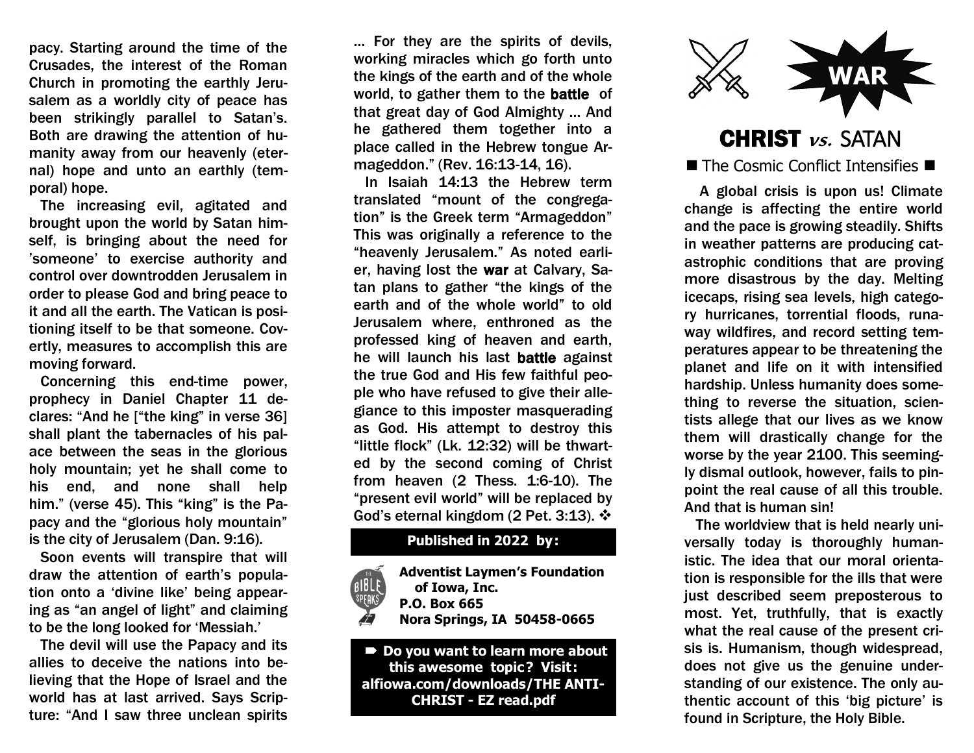pacy. Starting around the time of the Crusades, the interest of the Roman Church in promoting the earthly Jerusalem as a worldly city of peace has been strikingly parallel to Satan's. Both are drawing the attention of humanity away from our heavenly (eternal) hope and unto an earthly (temporal) hope.

 The increasing evil, agitated and brought upon the world by Satan himself, is bringing about the need for 'someone' to exercise authority and control over downtrodden Jerusalem in order to please God and bring peace to it and all the earth. The Vatican is positioning itself to be that someone. Covertly, measures to accomplish this are moving forward.

 Concerning this end-time power, prophecy in Daniel Chapter 11 declares: "And he ["the king" in verse 36] shall plant the tabernacles of his palace between the seas in the glorious holy mountain; yet he shall come to his end, and none shall help him." (verse 45). This "king" is the Papacy and the "glorious holy mountain" is the city of Jerusalem (Dan. 9:16).

 Soon events will transpire that will draw the attention of earth's population onto a 'divine like' being appearing as "an angel of light" and claiming to be the long looked for 'Messiah.'

 The devil will use the Papacy and its allies to deceive the nations into believing that the Hope of Israel and the world has at last arrived. Says Scripture: "And I saw three unclean spirits

… For they are the spirits of devils, working miracles which go forth unto the kings of the earth and of the whole world, to gather them to the battle of that great day of God Almighty … And he gathered them together into a place called in the Hebrew tongue Armageddon." (Rev. 16:13-14, 16).

 In Isaiah 14:13 the Hebrew term translated "mount of the congregation" is the Greek term "Armageddon" This was originally a reference to the "heavenly Jerusalem." As noted earlier, having lost the war at Calvary, Satan plans to gather "the kings of the earth and of the whole world" to old Jerusalem where, enthroned as the professed king of heaven and earth, he will launch his last battle against the true God and His few faithful people who have refused to give their allegiance to this imposter masquerading as God. His attempt to destroy this "little flock" (Lk. 12:32) will be thwarted by the second coming of Christ from heaven (2 Thess. 1:6-10). The "present evil world" will be replaced by God's eternal kingdom (2 Pet. 3:13).  $\cdot$ 

## **Published in 2022 by:**

| THE  | <b>Adventist Laymen's Foundation</b> |
|------|--------------------------------------|
| BLE  | of Iowa, Inc.                        |
| EAKS | P.O. Box 665                         |
|      | <b>Nora Springs, IA 50458-0665</b>   |
|      |                                      |

 **Do you want to learn more about this awesome topic? Visit : alfiowa.com/downloads/THE ANTI-CHRIST - EZ read.pdf**



CHRIST **vs.** SATAN  $\blacksquare$  The Cosmic Conflict Intensifies  $\blacksquare$ 

 A global crisis is upon us! Climate change is affecting the entire world and the pace is growing steadily. Shifts in weather patterns are producing catastrophic conditions that are proving more disastrous by the day. Melting icecaps, rising sea levels, high category hurricanes, torrential floods, runaway wildfires, and record setting temperatures appear to be threatening the planet and life on it with intensified hardship. Unless humanity does something to reverse the situation, scientists allege that our lives as we know them will drastically change for the worse by the year 2100. This seemingly dismal outlook, however, fails to pinpoint the real cause of all this trouble. And that is human sin!

 The worldview that is held nearly universally today is thoroughly humanistic. The idea that our moral orientation is responsible for the ills that were just described seem preposterous to most. Yet, truthfully, that is exactly what the real cause of the present crisis is. Humanism, though widespread, does not give us the genuine understanding of our existence. The only authentic account of this 'big picture' is found in Scripture, the Holy Bible.